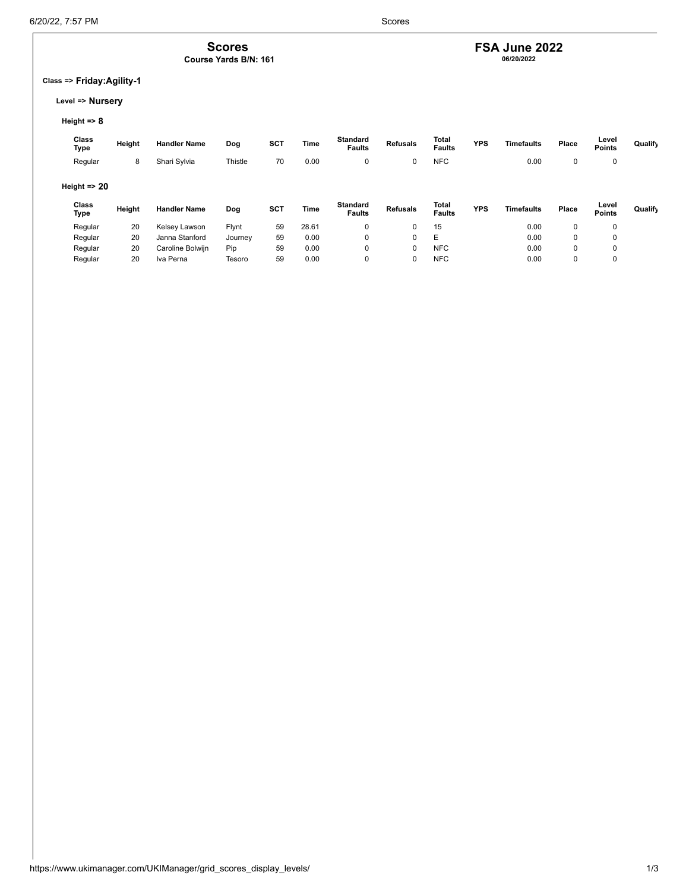## **FSA June 2022 06/20/2022**

### **Class => Friday:Agility-1**

**Scores Course Yards B/N: 161**

#### **Level => Nursery**

### **Height => 8**

| Class<br>Type                            | Height | <b>Handler Name</b> | Dog     | <b>SCT</b> | Time  | <b>Standard</b><br><b>Faults</b> | <b>Refusals</b> | Total<br><b>Faults</b> | <b>YPS</b> | <b>Timefaults</b> | Place | Level<br><b>Points</b> | Qualify |
|------------------------------------------|--------|---------------------|---------|------------|-------|----------------------------------|-----------------|------------------------|------------|-------------------|-------|------------------------|---------|
| Regular                                  | 8      | Shari Sylvia        | Thistle | 70         | 0.00  | 0                                | 0               | <b>NFC</b>             |            | 0.00              | 0     | 0                      |         |
| Height $\Rightarrow$ 20<br>Class<br>Type | Height | <b>Handler Name</b> | Dog     | <b>SCT</b> | Time  | <b>Standard</b>                  | <b>Refusals</b> | Total                  | <b>YPS</b> | <b>Timefaults</b> | Place | Level                  | Qualify |
|                                          |        |                     |         |            |       | <b>Faults</b>                    |                 | <b>Faults</b>          |            |                   |       | <b>Points</b>          |         |
| Regular                                  | 20     | Kelsey Lawson       | Flynt   | 59         | 28.61 | 0                                | 0               | 15                     |            | 0.00              | 0     |                        |         |
| Regular                                  | 20     | Janna Stanford      | Journey | 59         | 0.00  | 0                                | 0               | E                      |            | 0.00              | 0     | 0                      |         |
| Regular                                  | 20     | Caroline Bolwijn    | Pip     | 59         | 0.00  | 0                                | 0               | <b>NFC</b>             |            | 0.00              | 0     | 0                      |         |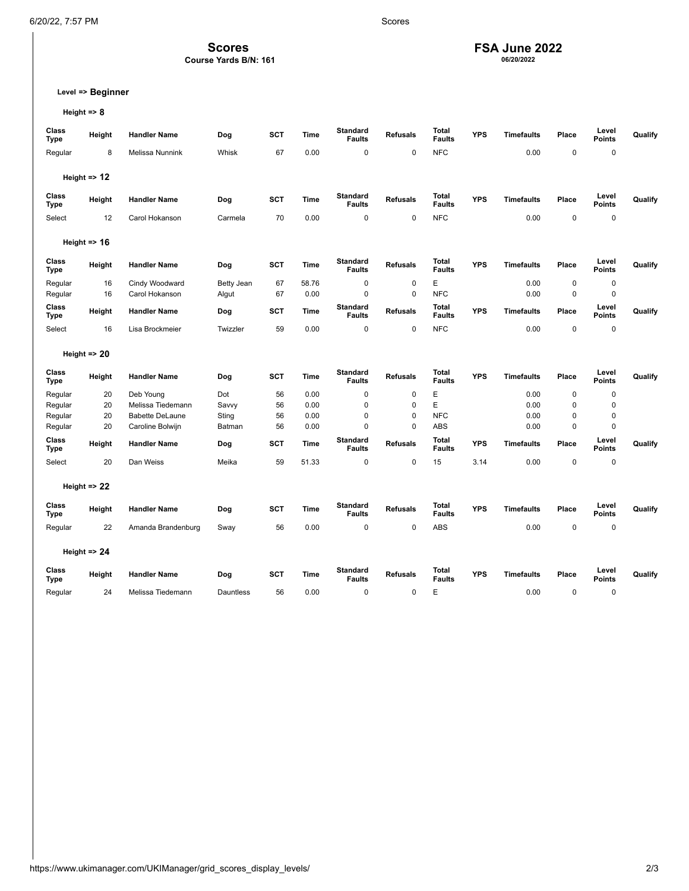**Scores** 

**Course Yards B/N: 161**

### **FSA June 2022 06/20/2022**

**Level => Beginner**

**Height => 8**

| Class<br><b>Type</b> | Height                  | <b>Handler Name</b>    | Dog        | SCT        | <b>Time</b> | <b>Standard</b><br><b>Faults</b> | <b>Refusals</b> | <b>Total</b><br><b>Faults</b> | <b>YPS</b> | <b>Timefaults</b> | Place | Level<br><b>Points</b> | Qualify |
|----------------------|-------------------------|------------------------|------------|------------|-------------|----------------------------------|-----------------|-------------------------------|------------|-------------------|-------|------------------------|---------|
| Regular              | 8                       | Melissa Nunnink        | Whisk      | 67         | 0.00        | 0                                | 0               | <b>NFC</b>                    |            | 0.00              | 0     | 0                      |         |
|                      |                         |                        |            |            |             |                                  |                 |                               |            |                   |       |                        |         |
|                      | Height $\Rightarrow$ 12 |                        |            |            |             |                                  |                 |                               |            |                   |       |                        |         |
| Class<br><b>Type</b> | Height                  | <b>Handler Name</b>    | Dog        | SCT        | <b>Time</b> | <b>Standard</b><br><b>Faults</b> | <b>Refusals</b> | Total<br><b>Faults</b>        | <b>YPS</b> | <b>Timefaults</b> | Place | Level<br><b>Points</b> | Qualify |
| Select               | 12                      | Carol Hokanson         | Carmela    | 70         | 0.00        | $\mathbf 0$                      | 0               | <b>NFC</b>                    |            | 0.00              | 0     | 0                      |         |
|                      | Height $\Rightarrow$ 16 |                        |            |            |             |                                  |                 |                               |            |                   |       |                        |         |
| Class<br><b>Type</b> | Height                  | <b>Handler Name</b>    | Dog        | SCT        | <b>Time</b> | <b>Standard</b><br><b>Faults</b> | <b>Refusals</b> | Total<br><b>Faults</b>        | <b>YPS</b> | <b>Timefaults</b> | Place | Level<br><b>Points</b> | Qualify |
| Regular              | 16                      | Cindy Woodward         | Betty Jean | 67         | 58.76       | $\mathbf 0$                      | 0               | E                             |            | 0.00              | 0     | 0                      |         |
| Regular              | 16                      | Carol Hokanson         | Algut      | 67         | 0.00        | $\mathbf 0$                      | 0               | <b>NFC</b>                    |            | 0.00              | 0     | 0                      |         |
| Class<br><b>Type</b> | Height                  | <b>Handler Name</b>    | Dog        | SCT        | <b>Time</b> | <b>Standard</b><br><b>Faults</b> | <b>Refusals</b> | <b>Total</b><br><b>Faults</b> | <b>YPS</b> | <b>Timefaults</b> | Place | Level<br><b>Points</b> | Qualify |
| Select               | 16                      | Lisa Brockmeier        | Twizzler   | 59         | 0.00        | 0                                | 0               | <b>NFC</b>                    |            | 0.00              | 0     | 0                      |         |
|                      | Height $\Rightarrow$ 20 |                        |            |            |             |                                  |                 |                               |            |                   |       |                        |         |
|                      |                         |                        |            |            |             |                                  |                 |                               |            |                   |       |                        |         |
| Class<br><b>Type</b> | Height                  | <b>Handler Name</b>    | Dog        | SCT        | Time        | <b>Standard</b><br><b>Faults</b> | <b>Refusals</b> | <b>Total</b><br><b>Faults</b> | <b>YPS</b> | <b>Timefaults</b> | Place | Level<br>Points        | Qualify |
| Regular              | 20                      | Deb Young              | Dot        | 56         | 0.00        | $\mathbf 0$                      | 0               | E                             |            | 0.00              | 0     | 0                      |         |
| Regular              | 20                      | Melissa Tiedemann      | Savvy      | 56         | 0.00        | $\mathbf 0$                      | 0               | E                             |            | 0.00              | 0     | 0                      |         |
| Regular              | 20                      | <b>Babette DeLaune</b> | Sting      | 56         | 0.00        | $\mathbf 0$                      | 0               | <b>NFC</b>                    |            | 0.00              | 0     | 0                      |         |
| Regular              | 20                      | Caroline Bolwijn       | Batman     | 56         | 0.00        | $\mathbf 0$                      | $\Omega$        | <b>ABS</b>                    |            | 0.00              | 0     | $\Omega$               |         |
| Class<br><b>Type</b> | Height                  | <b>Handler Name</b>    | Dog        | SCT        | <b>Time</b> | <b>Standard</b><br><b>Faults</b> | <b>Refusals</b> | Total<br><b>Faults</b>        | <b>YPS</b> | <b>Timefaults</b> | Place | Level<br><b>Points</b> | Qualify |
| Select               | 20                      | Dan Weiss              | Meika      | 59         | 51.33       | 0                                | 0               | 15                            | 3.14       | 0.00              | 0     | 0                      |         |
|                      | Height $\Rightarrow$ 22 |                        |            |            |             |                                  |                 |                               |            |                   |       |                        |         |
| Class<br><b>Type</b> | Height                  | <b>Handler Name</b>    | Dog        | SCT        | Time        | <b>Standard</b><br><b>Faults</b> | <b>Refusals</b> | Total<br><b>Faults</b>        | <b>YPS</b> | <b>Timefaults</b> | Place | Level<br><b>Points</b> | Qualify |
| Regular              | 22                      | Amanda Brandenburg     | Sway       | 56         | 0.00        | $\pmb{0}$                        | 0               | ABS                           |            | 0.00              | 0     | 0                      |         |
|                      |                         |                        |            |            |             |                                  |                 |                               |            |                   |       |                        |         |
|                      | Height $\Rightarrow$ 24 |                        |            |            |             |                                  |                 |                               |            |                   |       |                        |         |
| Class<br><b>Type</b> | Height                  | <b>Handler Name</b>    | Dog        | <b>SCT</b> | <b>Time</b> | <b>Standard</b><br><b>Faults</b> | <b>Refusals</b> | <b>Total</b><br><b>Faults</b> | <b>YPS</b> | Timefaults        | Place | Level<br><b>Points</b> | Qualify |